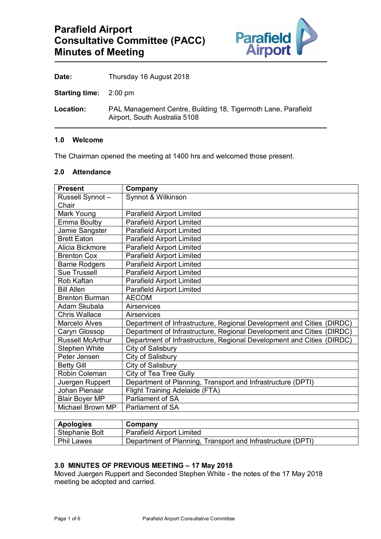

Date: Thursday 16 August 2018

**Starting time:** 2:00 pm

**Location:** PAL Management Centre, Building 18, Tigermoth Lane, Parafield Airport, South Australia 5108

### **1.0 Welcome**

The Chairman opened the meeting at 1400 hrs and welcomed those present.

### **2.0 Attendance**

| <b>Present</b>          | Company                                                               |
|-------------------------|-----------------------------------------------------------------------|
| Russell Synnot-         | Synnot & Wilkinson                                                    |
| Chair                   |                                                                       |
| Mark Young              | <b>Parafield Airport Limited</b>                                      |
| Emma Boulby             | <b>Parafield Airport Limited</b>                                      |
| Jamie Sangster          | <b>Parafield Airport Limited</b>                                      |
| <b>Brett Eaton</b>      | <b>Parafield Airport Limited</b>                                      |
| Alicia Bickmore         | <b>Parafield Airport Limited</b>                                      |
| <b>Brenton Cox</b>      | <b>Parafield Airport Limited</b>                                      |
| <b>Barrie Rodgers</b>   | <b>Parafield Airport Limited</b>                                      |
| <b>Sue Trussell</b>     | <b>Parafield Airport Limited</b>                                      |
| Rob Kaftan              | <b>Parafield Airport Limited</b>                                      |
| <b>Bill Allen</b>       | <b>Parafield Airport Limited</b>                                      |
| <b>Brenton Burman</b>   | <b>AECOM</b>                                                          |
| Adam Skubala            | <b>Airservices</b>                                                    |
| <b>Chris Wallace</b>    | Airservices                                                           |
| <b>Marcelo Alves</b>    | Department of Infrastructure, Regional Development and Cities (DIRDC) |
| Caryn Glossop           | Department of Infrastructure, Regional Development and Cities (DIRDC) |
| <b>Russell McArthur</b> | Department of Infrastructure, Regional Development and Cities (DIRDC) |
| <b>Stephen White</b>    | City of Salisbury                                                     |
| Peter Jensen            | City of Salisbury                                                     |
| <b>Betty Gill</b>       | City of Salisbury                                                     |
| Robin Coleman           | City of Tea Tree Gully                                                |
| Juergen Ruppert         | Department of Planning, Transport and Infrastructure (DPTI)           |
| Johan Pienaar           | <b>Flight Training Adelaide (FTA)</b>                                 |
| <b>Blair Boyer MP</b>   | <b>Parliament of SA</b>                                               |
| Michael Brown MP        | <b>Parliament of SA</b>                                               |

| <b>Apologies</b> | Company                                                     |
|------------------|-------------------------------------------------------------|
| Stephanie Bolt   | <b>Parafield Airport Limited</b>                            |
| Phil Lawes       | Department of Planning, Transport and Infrastructure (DPTI) |

### **3.0 MINUTES OF PREVIOUS MEETING – 17 May 2018**

Moved Juergen Ruppert and Seconded Stephen White - the notes of the 17 May 2018 meeting be adopted and carried.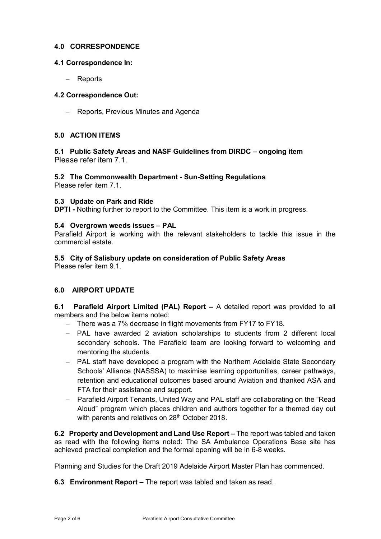# **4.0 CORRESPONDENCE**

### **4.1 Correspondence In:**

− Reports

### **4.2 Correspondence Out:**

− Reports, Previous Minutes and Agenda

# **5.0 ACTION ITEMS**

# **5.1 Public Safety Areas and NASF Guidelines from DIRDC – ongoing item** Please refer item 7.1.

# **5.2 The Commonwealth Department - Sun-Setting Regulations**

Please refer item 7.1.

### **5.3 Update on Park and Ride**

**DPTI -** Nothing further to report to the Committee. This item is a work in progress.

### **5.4 Overgrown weeds issues – PAL**

Parafield Airport is working with the relevant stakeholders to tackle this issue in the commercial estate.

# **5.5 City of Salisbury update on consideration of Public Safety Areas**

Please refer item 9.1.

# **6.0 AIRPORT UPDATE**

**6.1 Parafield Airport Limited (PAL) Report –** A detailed report was provided to all members and the below items noted:

- − There was a 7% decrease in flight movements from FY17 to FY18.
- − PAL have awarded 2 aviation scholarships to students from 2 different local secondary schools. The Parafield team are looking forward to welcoming and mentoring the students.
- − PAL staff have developed a program with the Northern Adelaide State Secondary Schools' Alliance (NASSSA) to maximise learning opportunities, career pathways, retention and educational outcomes based around Aviation and thanked ASA and FTA for their assistance and support.
- − Parafield Airport Tenants, United Way and PAL staff are collaborating on the "Read Aloud" program which places children and authors together for a themed day out with parents and relatives on 28<sup>th</sup> October 2018.

**6.2 Property and Development and Land Use Report –** The report was tabled and taken as read with the following items noted: The SA Ambulance Operations Base site has achieved practical completion and the formal opening will be in 6-8 weeks.

Planning and Studies for the Draft 2019 Adelaide Airport Master Plan has commenced.

**6.3 Environment Report –** The report was tabled and taken as read.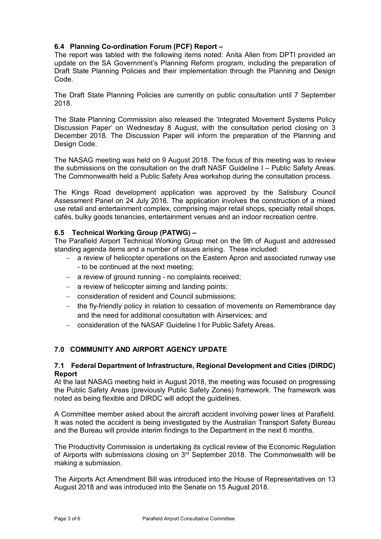# **6.4 Planning Co-ordination Forum (PCF) Report –**

The report was tabled with the following items noted: Anita Allen from DPTI provided an update on the SA Government's Planning Reform program, including the preparation of Draft State Planning Policies and their implementation through the Planning and Design Code.

The Draft State Planning Policies are currently on public consultation until 7 September 2018.

The State Planning Commission also released the 'Integrated Movement Systems Policy Discussion Paper' on Wednesday 8 August, with the consultation period closing on 3 December 2018. The Discussion Paper will inform the preparation of the Planning and Design Code.

The NASAG meeting was held on 9 August 2018. The focus of this meeting was to review the submissions on the consultation on the draft NASF Guideline I – Public Safety Areas. The Commonwealth held a Public Safety Area workshop during the consultation process.

The Kings Road development application was approved by the Salisbury Council Assessment Panel on 24 July 2018. The application involves the construction of a mixed use retail and entertainment complex, comprising major retail shops, specialty retail shops, cafés, bulky goods tenancies, entertainment venues and an indoor recreation centre.

# **6.5 Technical Working Group (PATWG) –**

The Parafield Airport Technical Working Group met on the 9th of August and addressed standing agenda items and a number of issues arising. These included:

- a review of helicopter operations on the Eastern Apron and associated runway use - to be continued at the next meeting;
- − a review of ground running no complaints received;
- − a review of helicopter aiming and landing points;
- − consideration of resident and Council submissions;
- − the fly-friendly policy in relation to cessation of movements on Remembrance day and the need for additional consultation with Airservices; and
- − consideration of the NASAF Guideline I for Public Safety Areas.

# **7.0 COMMUNITY AND AIRPORT AGENCY UPDATE**

### **7.1 Federal Department of Infrastructure, Regional Development and Cities (DIRDC) Report**

At the last NASAG meeting held in August 2018, the meeting was focused on progressing the Public Safety Areas (previously Public Safety Zones) framework. The framework was noted as being flexible and DIRDC will adopt the guidelines.

A Committee member asked about the aircraft accident involving power lines at Parafield. It was noted the accident is being investigated by the Australian Transport Safety Bureau and the Bureau will provide interim findings to the Department in the next 6 months.

The Productivity Commission is undertaking its cyclical review of the Economic Regulation of Airports with submissions closing on  $3<sup>rd</sup>$  September 2018. The Commonwealth will be making a submission.

The Airports Act Amendment Bill was introduced into the House of Representatives on 13 August 2018 and was introduced into the Senate on 15 August 2018.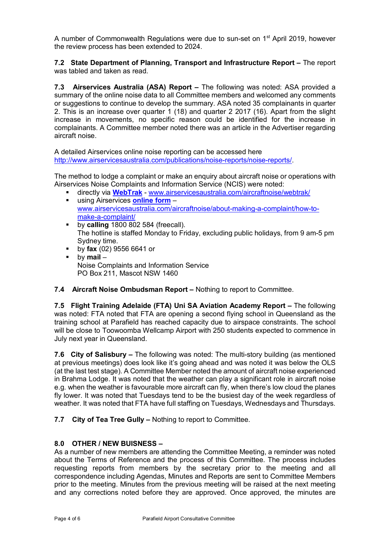A number of Commonwealth Regulations were due to sun-set on 1<sup>st</sup> April 2019, however the review process has been extended to 2024.

**7.2 State Department of Planning, Transport and Infrastructure Report –** The report was tabled and taken as read.

**7.3 Airservices Australia (ASA) Report –** The following was noted: ASA provided a summary of the online noise data to all Committee members and welcomed any comments or suggestions to continue to develop the summary. ASA noted 35 complainants in quarter 2. This is an increase over quarter 1 (18) and quarter 2 2017 (16). Apart from the slight increase in movements, no specific reason could be identified for the increase in complainants. A Committee member noted there was an article in the Advertiser regarding aircraft noise.

A detailed Airservices online noise reporting can be accessed here http://www.airservicesaustralia.com/publications/noise-reports/noise-reports/

The method to lodge a complaint or make an enquiry about aircraft noise or operations with Airservices Noise Complaints and Information Service (NCIS) were noted:

- directly via **[WebTrak](http://www.airservicesaustralia.com/aircraftnoise/webtrak/)** [www.airservicesaustralia.com/aircraftnoise/webtrak/](http://www.airservicesaustralia.com/aircraftnoise/webtrak/)
- using Airservices **[online form](https://complaints.bksv.com/asa)** [www.airservicesaustralia.com/aircraftnoise/about-making-a-complaint/how-to](http://www.airservicesaustralia.com/aircraftnoise/about-making-a-complaint/how-to-make-a-complaint/)[make-a-complaint/](http://www.airservicesaustralia.com/aircraftnoise/about-making-a-complaint/how-to-make-a-complaint/)
- by **calling** 1800 802 584 (freecall). The hotline is staffed Monday to Friday, excluding public holidays, from 9 am-5 pm Sydney time.
- by **fax** (02) 9556 6641 or
- by **mail** Noise Complaints and Information Service PO Box 211, Mascot NSW 1460

### **7.4 Aircraft Noise Ombudsman Report –** Nothing to report to Committee.

**7.5 Flight Training Adelaide (FTA) Uni SA Aviation Academy Report –** The following was noted: FTA noted that FTA are opening a second flying school in Queensland as the training school at Parafield has reached capacity due to airspace constraints. The school will be close to Toowoomba Wellcamp Airport with 250 students expected to commence in July next year in Queensland.

**7.6 City of Salisbury –** The following was noted: The multi-story building (as mentioned at previous meetings) does look like it's going ahead and was noted it was below the OLS (at the last test stage). A Committee Member noted the amount of aircraft noise experienced in Brahma Lodge. It was noted that the weather can play a significant role in aircraft noise e.g. when the weather is favourable more aircraft can fly, when there's low cloud the planes fly lower. It was noted that Tuesdays tend to be the busiest day of the week regardless of weather. It was noted that FTA have full staffing on Tuesdays, Wednesdays and Thursdays.

**7.7 City of Tea Tree Gully –** Nothing to report to Committee.

# **8.0 OTHER / NEW BUISNESS –**

As a number of new members are attending the Committee Meeting, a reminder was noted about the Terms of Reference and the process of this Committee. The process includes requesting reports from members by the secretary prior to the meeting and all correspondence including Agendas, Minutes and Reports are sent to Committee Members prior to the meeting. Minutes from the previous meeting will be raised at the next meeting and any corrections noted before they are approved. Once approved, the minutes are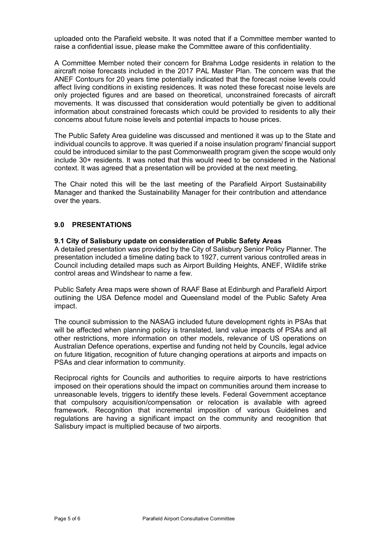uploaded onto the Parafield website. It was noted that if a Committee member wanted to raise a confidential issue, please make the Committee aware of this confidentiality.

A Committee Member noted their concern for Brahma Lodge residents in relation to the aircraft noise forecasts included in the 2017 PAL Master Plan. The concern was that the ANEF Contours for 20 years time potentially indicated that the forecast noise levels could affect living conditions in existing residences. It was noted these forecast noise levels are only projected figures and are based on theoretical, unconstrained forecasts of aircraft movements. It was discussed that consideration would potentially be given to additional information about constrained forecasts which could be provided to residents to ally their concerns about future noise levels and potential impacts to house prices.

The Public Safety Area guideline was discussed and mentioned it was up to the State and individual councils to approve. It was queried if a noise insulation program/ financial support could be introduced similar to the past Commonwealth program given the scope would only include 30+ residents. It was noted that this would need to be considered in the National context. It was agreed that a presentation will be provided at the next meeting.

The Chair noted this will be the last meeting of the Parafield Airport Sustainability Manager and thanked the Sustainability Manager for their contribution and attendance over the years.

# **9.0 PRESENTATIONS**

### **9.1 City of Salisbury update on consideration of Public Safety Areas**

A detailed presentation was provided by the City of Salisbury Senior Policy Planner. The presentation included a timeline dating back to 1927, current various controlled areas in Council including detailed maps such as Airport Building Heights, ANEF, Wildlife strike control areas and Windshear to name a few.

Public Safety Area maps were shown of RAAF Base at Edinburgh and Parafield Airport outlining the USA Defence model and Queensland model of the Public Safety Area impact.

The council submission to the NASAG included future development rights in PSAs that will be affected when planning policy is translated, land value impacts of PSAs and all other restrictions, more information on other models, relevance of US operations on Australian Defence operations, expertise and funding not held by Councils, legal advice on future litigation, recognition of future changing operations at airports and impacts on PSAs and clear information to community.

Reciprocal rights for Councils and authorities to require airports to have restrictions imposed on their operations should the impact on communities around them increase to unreasonable levels, triggers to identify these levels. Federal Government acceptance that compulsory acquisition/compensation or relocation is available with agreed framework. Recognition that incremental imposition of various Guidelines and regulations are having a significant impact on the community and recognition that Salisbury impact is multiplied because of two airports.